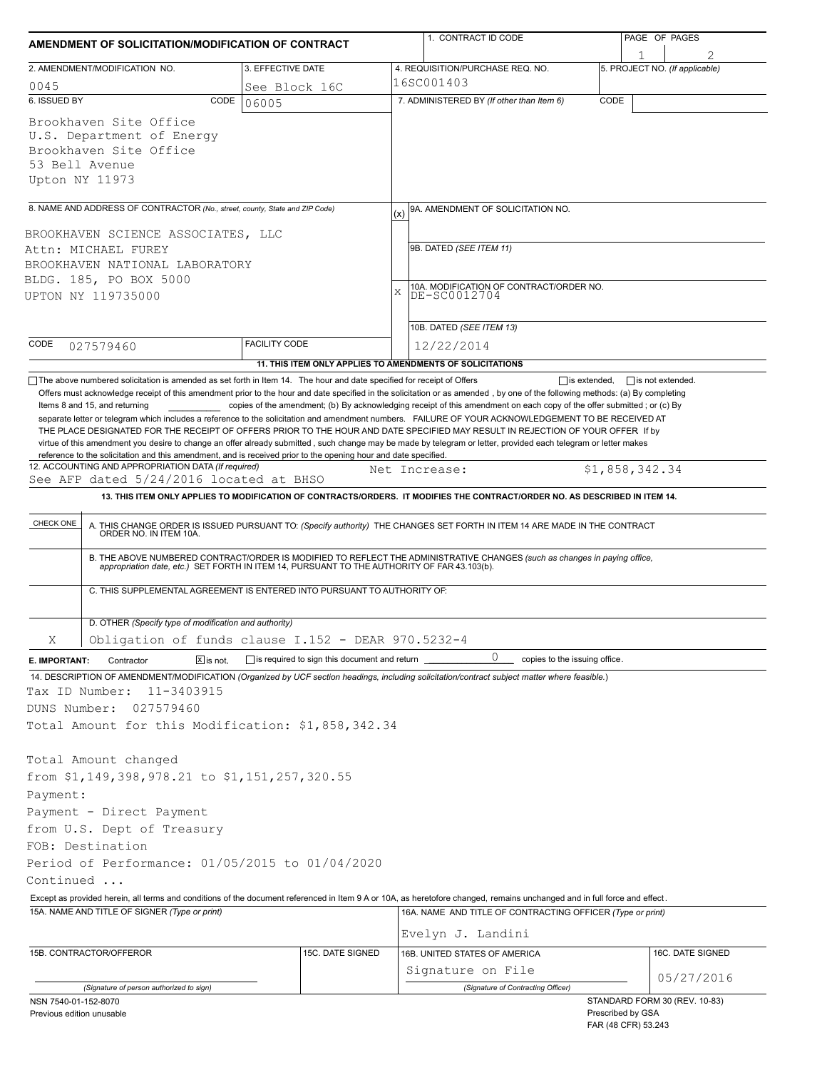| AMENDMENT OF SOLICITATION/MODIFICATION OF CONTRACT                                                                                                                                                                |                                              | 1. CONTRACT ID CODE                                                                                                                                                                                                                                                                                                                                                                                                                                | PAGE OF PAGES                                           |  |  |  |
|-------------------------------------------------------------------------------------------------------------------------------------------------------------------------------------------------------------------|----------------------------------------------|----------------------------------------------------------------------------------------------------------------------------------------------------------------------------------------------------------------------------------------------------------------------------------------------------------------------------------------------------------------------------------------------------------------------------------------------------|---------------------------------------------------------|--|--|--|
| 2. AMENDMENT/MODIFICATION NO.                                                                                                                                                                                     | 3. EFFECTIVE DATE                            | 4. REQUISITION/PURCHASE REQ. NO.                                                                                                                                                                                                                                                                                                                                                                                                                   | 5. PROJECT NO. (If applicable)                          |  |  |  |
| 0045                                                                                                                                                                                                              | See Block 16C                                | 16SC001403                                                                                                                                                                                                                                                                                                                                                                                                                                         |                                                         |  |  |  |
| 6. ISSUED BY<br>CODE                                                                                                                                                                                              | 06005                                        | 7. ADMINISTERED BY (If other than Item 6)                                                                                                                                                                                                                                                                                                                                                                                                          | CODE                                                    |  |  |  |
| Brookhaven Site Office<br>U.S. Department of Energy<br>Brookhaven Site Office<br>53 Bell Avenue<br>Upton NY 11973                                                                                                 |                                              |                                                                                                                                                                                                                                                                                                                                                                                                                                                    |                                                         |  |  |  |
| 8. NAME AND ADDRESS OF CONTRACTOR (No., street, county, State and ZIP Code)                                                                                                                                       |                                              | 9A. AMENDMENT OF SOLICITATION NO.<br>(x)                                                                                                                                                                                                                                                                                                                                                                                                           |                                                         |  |  |  |
|                                                                                                                                                                                                                   |                                              |                                                                                                                                                                                                                                                                                                                                                                                                                                                    |                                                         |  |  |  |
| BROOKHAVEN SCIENCE ASSOCIATES, LLC<br>Attn: MICHAEL FUREY                                                                                                                                                         |                                              | 9B. DATED (SEE ITEM 11)                                                                                                                                                                                                                                                                                                                                                                                                                            |                                                         |  |  |  |
| BROOKHAVEN NATIONAL LABORATORY                                                                                                                                                                                    |                                              |                                                                                                                                                                                                                                                                                                                                                                                                                                                    |                                                         |  |  |  |
| BLDG. 185, PO BOX 5000                                                                                                                                                                                            |                                              |                                                                                                                                                                                                                                                                                                                                                                                                                                                    |                                                         |  |  |  |
| UPTON NY 119735000                                                                                                                                                                                                |                                              | $\mathbf{x}$                                                                                                                                                                                                                                                                                                                                                                                                                                       | 10A. MODIFICATION OF CONTRACT/ORDER NO.<br>DE-SC0012704 |  |  |  |
|                                                                                                                                                                                                                   |                                              |                                                                                                                                                                                                                                                                                                                                                                                                                                                    |                                                         |  |  |  |
|                                                                                                                                                                                                                   |                                              | 10B. DATED (SEE ITEM 13)                                                                                                                                                                                                                                                                                                                                                                                                                           |                                                         |  |  |  |
| CODE<br>027579460                                                                                                                                                                                                 | <b>FACILITY CODE</b>                         | 12/22/2014                                                                                                                                                                                                                                                                                                                                                                                                                                         |                                                         |  |  |  |
|                                                                                                                                                                                                                   |                                              | 11. THIS ITEM ONLY APPLIES TO AMENDMENTS OF SOLICITATIONS                                                                                                                                                                                                                                                                                                                                                                                          |                                                         |  |  |  |
| reference to the solicitation and this amendment, and is received prior to the opening hour and date specified.<br>12. ACCOUNTING AND APPROPRIATION DATA (If required)<br>See AFP dated 5/24/2016 located at BHSO |                                              | THE PLACE DESIGNATED FOR THE RECEIPT OF OFFERS PRIOR TO THE HOUR AND DATE SPECIFIED MAY RESULT IN REJECTION OF YOUR OFFER If by<br>virtue of this amendment you desire to change an offer already submitted, such change may be made by telegram or letter, provided each telegram or letter makes<br>Net Increase:<br>13. THIS ITEM ONLY APPLIES TO MODIFICATION OF CONTRACTS/ORDERS. IT MODIFIES THE CONTRACT/ORDER NO. AS DESCRIBED IN ITEM 14. | \$1,858,342.34                                          |  |  |  |
|                                                                                                                                                                                                                   |                                              |                                                                                                                                                                                                                                                                                                                                                                                                                                                    |                                                         |  |  |  |
| CHECK ONE                                                                                                                                                                                                         |                                              | A. THIS CHANGE ORDER IS ISSUED PURSUANT TO: (Specify authority) THE CHANGES SET FORTH IN ITEM 14 ARE MADE IN THE CONTRACT ORDER NO. IN ITEM 10A.                                                                                                                                                                                                                                                                                                   |                                                         |  |  |  |
|                                                                                                                                                                                                                   |                                              | B. THE ABOVE NUMBERED CONTRACT/ORDER IS MODIFIED TO REFLECT THE ADMINISTRATIVE CHANGES (such as changes in paying office, appropriation date, etc.) SET FORTH IN ITEM 14, PURSUANT TO THE AUTHORITY OF FAR 43.103(b).                                                                                                                                                                                                                              |                                                         |  |  |  |
| C. THIS SUPPLEMENTAL AGREEMENT IS ENTERED INTO PURSUANT TO AUTHORITY OF:                                                                                                                                          |                                              |                                                                                                                                                                                                                                                                                                                                                                                                                                                    |                                                         |  |  |  |
| D. OTHER (Specify type of modification and authority)                                                                                                                                                             |                                              |                                                                                                                                                                                                                                                                                                                                                                                                                                                    |                                                         |  |  |  |
| Obligation of funds clause I.152 - DEAR 970.5232-4<br>Χ                                                                                                                                                           |                                              |                                                                                                                                                                                                                                                                                                                                                                                                                                                    |                                                         |  |  |  |
| Contractor<br>$X$ is not.<br>E. IMPORTANT:                                                                                                                                                                        | is required to sign this document and return | 0<br>copies to the issuing office.                                                                                                                                                                                                                                                                                                                                                                                                                 |                                                         |  |  |  |
| 14. DESCRIPTION OF AMENDMENT/MODIFICATION (Organized by UCF section headings, including solicitation/contract subject matter where feasible.)                                                                     |                                              |                                                                                                                                                                                                                                                                                                                                                                                                                                                    |                                                         |  |  |  |
| Tax ID Number:<br>11-3403915                                                                                                                                                                                      |                                              |                                                                                                                                                                                                                                                                                                                                                                                                                                                    |                                                         |  |  |  |
| DUNS Number:<br>027579460                                                                                                                                                                                         |                                              |                                                                                                                                                                                                                                                                                                                                                                                                                                                    |                                                         |  |  |  |
| Total Amount for this Modification: \$1,858,342.34                                                                                                                                                                |                                              |                                                                                                                                                                                                                                                                                                                                                                                                                                                    |                                                         |  |  |  |
|                                                                                                                                                                                                                   |                                              |                                                                                                                                                                                                                                                                                                                                                                                                                                                    |                                                         |  |  |  |
| Total Amount changed                                                                                                                                                                                              |                                              |                                                                                                                                                                                                                                                                                                                                                                                                                                                    |                                                         |  |  |  |
| from \$1,149,398,978.21 to \$1,151,257,320.55                                                                                                                                                                     |                                              |                                                                                                                                                                                                                                                                                                                                                                                                                                                    |                                                         |  |  |  |
| Payment:                                                                                                                                                                                                          |                                              |                                                                                                                                                                                                                                                                                                                                                                                                                                                    |                                                         |  |  |  |
| Payment - Direct Payment                                                                                                                                                                                          |                                              |                                                                                                                                                                                                                                                                                                                                                                                                                                                    |                                                         |  |  |  |
| from U.S. Dept of Treasury                                                                                                                                                                                        |                                              |                                                                                                                                                                                                                                                                                                                                                                                                                                                    |                                                         |  |  |  |
| FOB: Destination<br>Period of Performance: 01/05/2015 to 01/04/2020                                                                                                                                               |                                              |                                                                                                                                                                                                                                                                                                                                                                                                                                                    |                                                         |  |  |  |
| Continued                                                                                                                                                                                                         |                                              |                                                                                                                                                                                                                                                                                                                                                                                                                                                    |                                                         |  |  |  |
|                                                                                                                                                                                                                   |                                              | Except as provided herein, all terms and conditions of the document referenced in Item 9 A or 10A, as heretofore changed, remains unchanged and in full force and effect.                                                                                                                                                                                                                                                                          |                                                         |  |  |  |
| 15A. NAME AND TITLE OF SIGNER (Type or print)                                                                                                                                                                     |                                              | 16A. NAME AND TITLE OF CONTRACTING OFFICER (Type or print)                                                                                                                                                                                                                                                                                                                                                                                         |                                                         |  |  |  |
|                                                                                                                                                                                                                   |                                              | Evelyn J. Landini                                                                                                                                                                                                                                                                                                                                                                                                                                  |                                                         |  |  |  |
| 15B. CONTRACTOR/OFFEROR                                                                                                                                                                                           | 15C. DATE SIGNED                             | 16B. UNITED STATES OF AMERICA                                                                                                                                                                                                                                                                                                                                                                                                                      | 16C. DATE SIGNED                                        |  |  |  |
|                                                                                                                                                                                                                   |                                              | Signature on File                                                                                                                                                                                                                                                                                                                                                                                                                                  |                                                         |  |  |  |
| (Signature of person authorized to sign)                                                                                                                                                                          |                                              | (Signature of Contracting Officer)                                                                                                                                                                                                                                                                                                                                                                                                                 | 05/27/2016                                              |  |  |  |
| NSN 7540-01-152-8070                                                                                                                                                                                              |                                              |                                                                                                                                                                                                                                                                                                                                                                                                                                                    | STANDARD FORM 30 (REV. 10-83)                           |  |  |  |
| Previous edition unusable                                                                                                                                                                                         |                                              |                                                                                                                                                                                                                                                                                                                                                                                                                                                    | Prescribed by GSA<br>FAR (48 CFR) 53.243                |  |  |  |